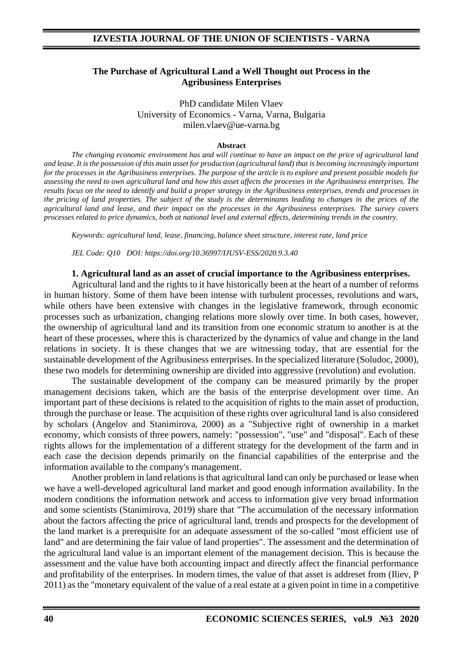### **The Purchase of Agricultural Land a Well Thought out Process in the Agribusiness Enterprises**

PhD candidate Milen Vlaev University of Economics - Varna, Varna, Bulgaria milen.vlaev@ue-varna.bg

#### **Abstract**

*The changing economic environment has and will continue to have an impact on the price of agricultural land and lease. It is the possession of this main asset for production (agricultural land) that is becoming increasingly important for the processes in the Agribusiness enterprises. The purpose of the article is to explore and present possible models for assessing the need to own agricultural land and how this asset affects the processes in the Agribusiness enterprises. The results focus on the need to identify and build a proper strategy in the Agribusiness enterprises, trends and processes in the pricing of land properties. The subject of the study is the determinants leading to changes in the prices of the agricultural land and lease, and their impact on the processes in the Agribusiness enterprises. The survey covers processes related to price dynamics, both at national level and external effects, determining trends in the country.*

*Keywords: agricultural land, lease, financing, balance sheet structure, interest rate, land price*

*JEL Code: Q10 DOI: https://doi.org/10.36997/IJUSV-ESS/2020.9.3.40*

#### **1. Agricultural land as an asset of crucial importance to the Agribusiness enterprises.**

Agricultural land and the rights to it have historically been at the heart of a number of reforms in human history. Some of them have been intense with turbulent processes, revolutions and wars, while others have been extensive with changes in the legislative framework, through economic processes such as urbanization, changing relations more slowly over time. In both cases, however, the ownership of agricultural land and its transition from one economic stratum to another is at the heart of these processes, where this is characterized by the dynamics of value and change in the land relations in society. It is these changes that we are witnessing today, that are essential for the sustainable development of the Agribusiness enterprises. In the specialized literature (Soludoc, 2000), these two models for determining ownership are divided into aggressive (revolution) and evolution.

The sustainable development of the company can be measured primarily by the proper management decisions taken, which are the basis of the enterprise development over time. An important part of these decisions is related to the acquisition of rights to the main asset of production, through the purchase or lease. The acquisition of these rights over agricultural land is also considered by scholars (Angelov and Stanimirova, 2000) as a "Subjective right of ownership in a market economy, which consists of three powers, namely: "possession", "use" and "disposal". Each of these rights allows for the implementation of a different strategy for the development of the farm and in each case the decision depends primarily on the financial capabilities of the enterprise and the information available to the company's management.

Another problem in land relations is that agricultural land can only be purchased or lease when we have a well-developed agricultural land market and good enough information availability. In the modern conditions the information network and access to information give very broad information and some scientists (Stanimirova, 2019) share that "The accumulation of the necessary information about the factors affecting the price of agricultural land, trends and prospects for the development of the land market is a prerequisite for an adequate assessment of the so-called "most efficient use of land" and are determining the fair value of land properties". The assessment and the determination of the agricultural land value is an important element of the management decision. This is because the assessment and the value have both accounting impact and directly affect the financial performance and profitability of the enterprises. In modern times, the value of that asset is addreset from (Iliev, P 2011) as the "monetary equivalent of the value of a real estate at a given point in time in a competitive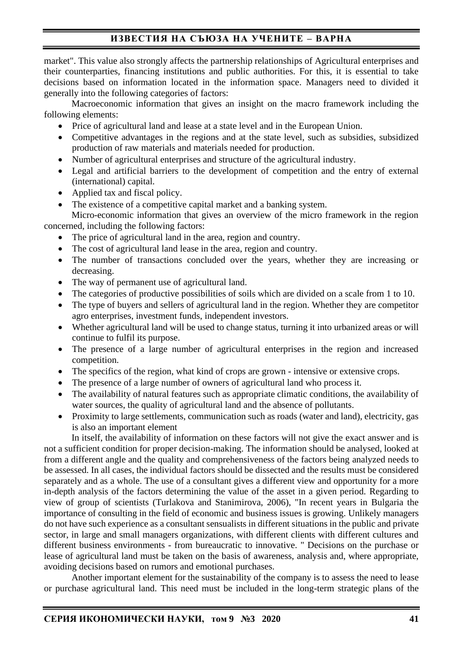market". This value also strongly affects the partnership relationships of Agricultural enterprises and their counterparties, financing institutions and public authorities. For this, it is essential to take decisions based on information located in the information space. Managers need to divided it generally into the following categories of factors:

Macroeconomic information that gives an insight on the macro framework including the following elements:

- Price of agricultural land and lease at a state level and in the European Union.
- Competitive advantages in the regions and at the state level, such as subsidies, subsidized production of raw materials and materials needed for production.
- Number of agricultural enterprises and structure of the agricultural industry.
- Legal and artificial barriers to the development of competition and the entry of external (international) capital.
- Applied tax and fiscal policy.
- The existence of a competitive capital market and a banking system.

Micro-economic information that gives an overview of the micro framework in the region concerned, including the following factors:

- The price of agricultural land in the area, region and country.
- The cost of agricultural land lease in the area, region and country.
- The number of transactions concluded over the years, whether they are increasing or decreasing.
- The way of permanent use of agricultural land.
- The categories of productive possibilities of soils which are divided on a scale from 1 to 10.
- The type of buyers and sellers of agricultural land in the region. Whether they are competitor agro enterprises, investment funds, independent investors.
- Whether agricultural land will be used to change status, turning it into urbanized areas or will continue to fulfil its purpose.
- The presence of a large number of agricultural enterprises in the region and increased competition.
- The specifics of the region, what kind of crops are grown intensive or extensive crops.
- The presence of a large number of owners of agricultural land who process it.
- The availability of natural features such as appropriate climatic conditions, the availability of water sources, the quality of agricultural land and the absence of pollutants.
- Proximity to large settlements, communication such as roads (water and land), electricity, gas is also an important element

In itself, the availability of information on these factors will not give the exact answer and is not a sufficient condition for proper decision-making. The information should be analysed, looked at from a different angle and the quality and comprehensiveness of the factors being analyzed needs to be assessed. In all cases, the individual factors should be dissected and the results must be considered separately and as a whole. The use of a consultant gives a different view and opportunity for a more in-depth analysis of the factors determining the value of the asset in a given period. Regarding to view of group of scientists (Turlakova and Stanimirova, 2006), "In recent years in Bulgaria the importance of consulting in the field of economic and business issues is growing. Unlikely managers do not have such experience as a consultant sensualists in different situations in the public and private sector, in large and small managers organizations, with different clients with different cultures and different business environments - from bureaucratic to innovative. " Decisions on the purchase or lease of agricultural land must be taken on the basis of awareness, analysis and, where appropriate, avoiding decisions based on rumors and emotional purchases.

Another important element for the sustainability of the company is to assess the need to lease or purchase agricultural land. This need must be included in the long-term strategic plans of the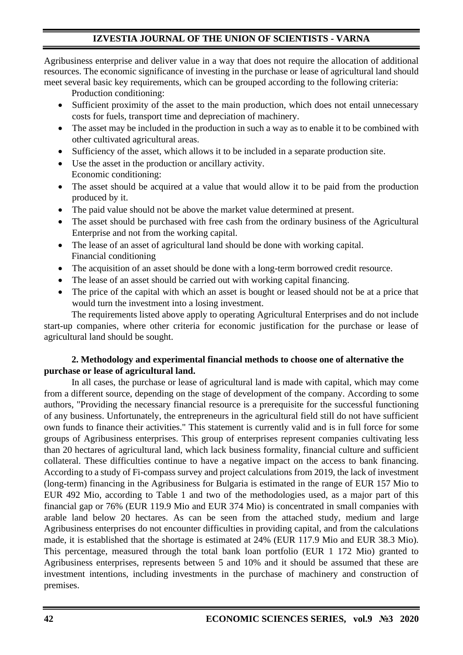# **IZVESTIA JOURNAL OF THE UNION OF SCIENTISTS - VARNA**

Agribusiness enterprise and deliver value in a way that does not require the allocation of additional resources. The economic significance of investing in the purchase or lease of agricultural land should meet several basic key requirements, which can be grouped according to the following criteria:

Production conditioning:

- Sufficient proximity of the asset to the main production, which does not entail unnecessary costs for fuels, transport time and depreciation of machinery.
- The asset may be included in the production in such a way as to enable it to be combined with other cultivated agricultural areas.
- Sufficiency of the asset, which allows it to be included in a separate production site.
- Use the asset in the production or ancillary activity. Economic conditioning:
- The asset should be acquired at a value that would allow it to be paid from the production produced by it.
- The paid value should not be above the market value determined at present.
- The asset should be purchased with free cash from the ordinary business of the Agricultural Enterprise and not from the working capital.
- The lease of an asset of agricultural land should be done with working capital. Financial conditioning
- The acquisition of an asset should be done with a long-term borrowed credit resource.
- The lease of an asset should be carried out with working capital financing.
- The price of the capital with which an asset is bought or leased should not be at a price that would turn the investment into a losing investment.

The requirements listed above apply to operating Agricultural Enterprises and do not include start-up companies, where other criteria for economic justification for the purchase or lease of agricultural land should be sought.

## **2. Methodology and experimental financial methods to choose one of alternative the purchase or lease of agricultural land.**

In all cases, the purchase or lease of agricultural land is made with capital, which may come from a different source, depending on the stage of development of the company. According to some authors, "Providing the necessary financial resource is a prerequisite for the successful functioning of any business. Unfortunately, the entrepreneurs in the agricultural field still do not have sufficient own funds to finance their activities." This statement is currently valid and is in full force for some groups of Agribusiness enterprises. This group of enterprises represent companies cultivating less than 20 hectares of agricultural land, which lack business formality, financial culture and sufficient collateral. These difficulties continue to have a negative impact on the access to bank financing. According to a study of Fi-compass survey and project calculations from 2019, the lack of investment (long-term) financing in the Agribusiness for Bulgaria is estimated in the range of EUR 157 Mio to EUR 492 Mio, according to Table 1 and two of the methodologies used, as a major part of this financial gap or 76% (EUR 119.9 Mio and EUR 374 Mio) is concentrated in small companies with arable land below 20 hectares. As can be seen from the attached study, medium and large Agribusiness enterprises do not encounter difficulties in providing capital, and from the calculations made, it is established that the shortage is estimated at 24% (EUR 117.9 Mio and EUR 38.3 Mio). This percentage, measured through the total bank loan portfolio (EUR 1 172 Mio) granted to Agribusiness enterprises, represents between 5 and 10% and it should be assumed that these are investment intentions, including investments in the purchase of machinery and construction of premises.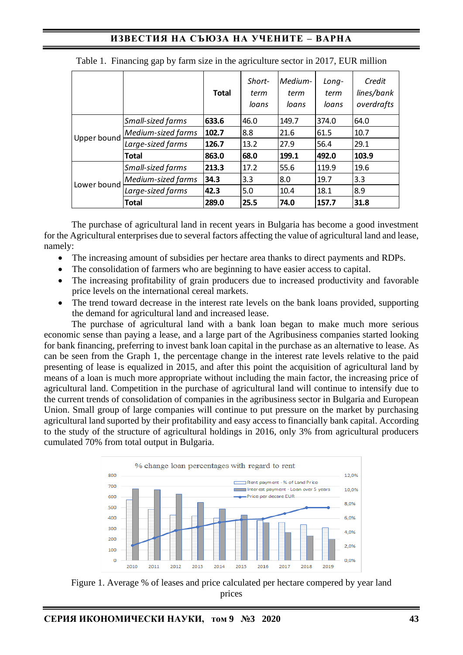|             |                    | <b>Total</b> | Short-<br>term<br>loans | Medium-<br>term<br>loans | Long-<br>term<br>loans | Credit<br>lines/bank<br>overdrafts |
|-------------|--------------------|--------------|-------------------------|--------------------------|------------------------|------------------------------------|
| Upper bound | Small-sized farms  | 633.6        | 46.0                    | 149.7                    | 374.0                  | 64.0                               |
|             | Medium-sized farms | 102.7        | 8.8                     | 21.6                     | 61.5                   | 10.7                               |
|             | Large-sized farms  | 126.7        | 13.2                    | 27.9                     | 56.4                   | 29.1                               |
|             | Total              | 863.0        | 68.0                    | 199.1                    | 492.0                  | 103.9                              |
|             | Small-sized farms  | 213.3        | 17.2                    | 55.6                     | 119.9                  | 19.6                               |
| Lower bound | Medium-sized farms | 34.3         | 3.3                     | 8.0                      | 19.7                   | 3.3                                |
|             | Large-sized farms  | 42.3         | 5.0                     | 10.4                     | 18.1                   | 8.9                                |
|             | Total              | 289.0        | 25.5                    | 74.0                     | 157.7                  | 31.8                               |

|  |  | Table 1. Financing gap by farm size in the agriculture sector in 2017, EUR million |  |  |
|--|--|------------------------------------------------------------------------------------|--|--|
|  |  |                                                                                    |  |  |
|  |  |                                                                                    |  |  |
|  |  |                                                                                    |  |  |

The purchase of agricultural land in recent years in Bulgaria has become a good investment for the Agricultural enterprises due to several factors affecting the value of agricultural land and lease, namely:

- The increasing amount of subsidies per hectare area thanks to direct payments and RDPs.
- The consolidation of farmers who are beginning to have easier access to capital.
- The increasing profitability of grain producers due to increased productivity and favorable price levels on the international cereal markets.
- The trend toward decrease in the interest rate levels on the bank loans provided, supporting the demand for agricultural land and increased lease.

The purchase of agricultural land with a bank loan began to make much more serious economic sense than paying a lease, and a large part of the Agribusiness companies started looking for bank financing, preferring to invest bank loan capital in the purchase as an alternative to lease. As can be seen from the Graph 1, the percentage change in the interest rate levels relative to the paid presenting of lease is equalized in 2015, and after this point the acquisition of agricultural land by means of a loan is much more appropriate without including the main factor, the increasing price of agricultural land. Competition in the purchase of agricultural land will continue to intensify due to the current trends of consolidation of companies in the agribusiness sector in Bulgaria and European Union. Small group of large companies will continue to put pressure on the market by purchasing agricultural land suported by their profitability and easy access to financially bank capital. According to the study of the structure of agricultural holdings in 2016, only 3% from agricultural producers cumulated 70% from total output in Bulgaria.



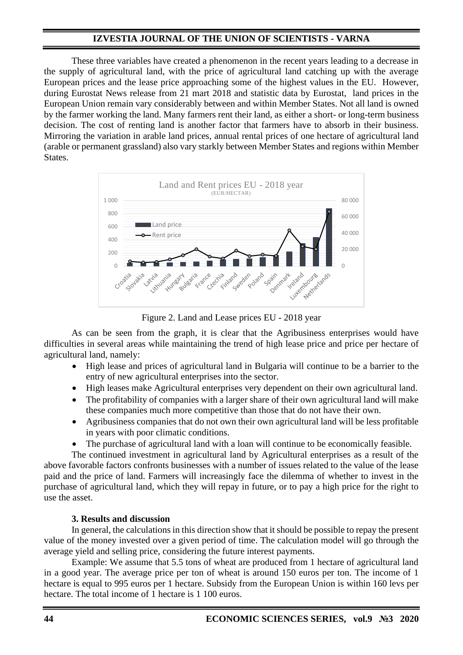## **IZVESTIA JOURNAL OF THE UNION OF SCIENTISTS - VARNA**

These three variables have created a phenomenon in the recent years leading to a decrease in the supply of agricultural land, with the price of agricultural land catching up with the average European prices and the lease price approaching some of the highest values in the EU. However, during Eurostat News release from 21 mart 2018 and statistic data by Eurostat, land prices in the European Union remain vary considerably between and within Member States. Not all land is owned by the farmer working the land. Many farmers rent their land, as either a short- or long-term business decision. The cost of renting land is another factor that farmers have to absorb in their business. Mirroring the variation in arable land prices, annual rental prices of one hectare of agricultural land (arable or permanent grassland) also vary starkly between Member States and regions within Member States.



Figure 2. Land and Lease prices EU - 2018 year

As can be seen from the graph, it is clear that the Agribusiness enterprises would have difficulties in several areas while maintaining the trend of high lease price and price per hectare of agricultural land, namely:

- High lease and prices of agricultural land in Bulgaria will continue to be a barrier to the entry of new agricultural enterprises into the sector.
- High leases make Agricultural enterprises very dependent on their own agricultural land.
- The profitability of companies with a larger share of their own agricultural land will make these companies much more competitive than those that do not have their own.
- Agribusiness companies that do not own their own agricultural land will be less profitable in years with poor climatic conditions.
- The purchase of agricultural land with a loan will continue to be economically feasible.

The continued investment in agricultural land by Agricultural enterprises as a result of the above favorable factors confronts businesses with a number of issues related to the value of the lease paid and the price of land. Farmers will increasingly face the dilemma of whether to invest in the purchase of agricultural land, which they will repay in future, or to pay a high price for the right to use the asset.

## **3. Results and discussion**

In general, the calculations in this direction show that it should be possible to repay the present value of the money invested over a given period of time. The calculation model will go through the average yield and selling price, considering the future interest payments.

Example: We assume that 5.5 tons of wheat are produced from 1 hectare of agricultural land in a good year. The average price per ton of wheat is around 150 euros per ton. The income of 1 hectare is equal to 995 euros per 1 hectare. Subsidy from the European Union is within 160 levs per hectare. The total income of 1 hectare is 1 100 euros.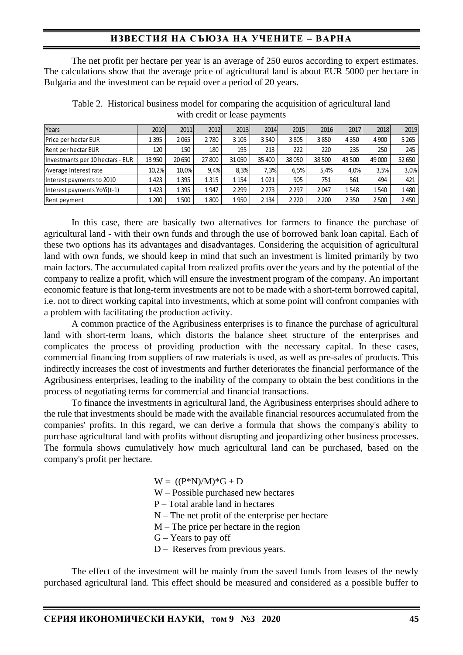The net profit per hectare per year is an average of 250 euros according to expert estimates. The calculations show that the average price of agricultural land is about EUR 5000 per hectare in Bulgaria and the investment can be repaid over a period of 20 years.

| Years                            | 2010   | 2011   | 2012  | 2013    | 2014    | 2015    | 2016    | 2017    | 2018    | 2019    |
|----------------------------------|--------|--------|-------|---------|---------|---------|---------|---------|---------|---------|
| Price per hectar EUR             | 1395   | 2065   | 2780  | 3 1 0 5 | 3 5 4 0 | 3805    | 3850    | 4350    | 4 9 0 0 | 5 2 6 5 |
| Rent per hectar EUR              | 120    | 150    | 180   | 195     | 213     | 222     | 220     | 235     | 250     | 245     |
| Investmants per 10 hectars - EUR | 13 950 | 20 650 | 27800 | 31050   | 35 400  | 38050   | 38 500  | 43 500  | 49 000  | 52 650  |
| Average Interest rate            | 10.2%  | 10.0%  | 9.4%  | 8.3%    | 7,3%    | 6,5%    | 5.4%    | 4.0%    | 3,5%    | 3,0%    |
| Interest payments to 2010        | 1423   | 1395   | 1315  | 1 154   | 1021    | 905     | 751     | 561     | 494     | 421     |
| Interest payments YoYi(t-1)      | 1423   | 1395   | 1947  | 2 2 9 9 | 2 2 7 3 | 2 2 9 7 | 2047    | 1548    | 1540    | 1480    |
| Rent peyment                     | 1 200  | 1500   | 1800  | 1950    | 2 1 3 4 | 2 2 2 0 | 2 2 0 0 | 2 3 5 0 | 2500    | 2450    |

Table 2. Historical business model for comparing the acquisition of agricultural land with credit or lease payments

In this case, there are basically two alternatives for farmers to finance the purchase of agricultural land - with their own funds and through the use of borrowed bank loan capital. Each of these two options has its advantages and disadvantages. Considering the acquisition of agricultural land with own funds, we should keep in mind that such an investment is limited primarily by two main factors. The accumulated capital from realized profits over the years and by the potential of the company to realize a profit, which will ensure the investment program of the company. An important economic feature is that long-term investments are not to be made with a short-term borrowed capital, i.e. not to direct working capital into investments, which at some point will confront companies with a problem with facilitating the production activity.

A common practice of the Agribusiness enterprises is to finance the purchase of agricultural land with short-term loans, which distorts the balance sheet structure of the enterprises and complicates the process of providing production with the necessary capital. In these cases, commercial financing from suppliers of raw materials is used, as well as pre-sales of products. This indirectly increases the cost of investments and further deteriorates the financial performance of the Agribusiness enterprises, leading to the inability of the company to obtain the best conditions in the process of negotiating terms for commercial and financial transactions.

To finance the investments in agricultural land, the Agribusiness enterprises should adhere to the rule that investments should be made with the available financial resources accumulated from the companies' profits. In this regard, we can derive a formula that shows the company's ability to purchase agricultural land with profits without disrupting and jeopardizing other business processes. The formula shows cumulatively how much agricultural land can be purchased, based on the company's profit per hectare.

 $W = ((P*N)/M)*G + D$ 

- W Possible purchased new hectares
- P Total arable land in hectares
- N The net profit of the enterprise per hectare
- M The price per hectare in the region
- G **–** Years to pay off
- D Reserves from previous years.

The effect of the investment will be mainly from the saved funds from leases of the newly purchased agricultural land. This effect should be measured and considered as a possible buffer to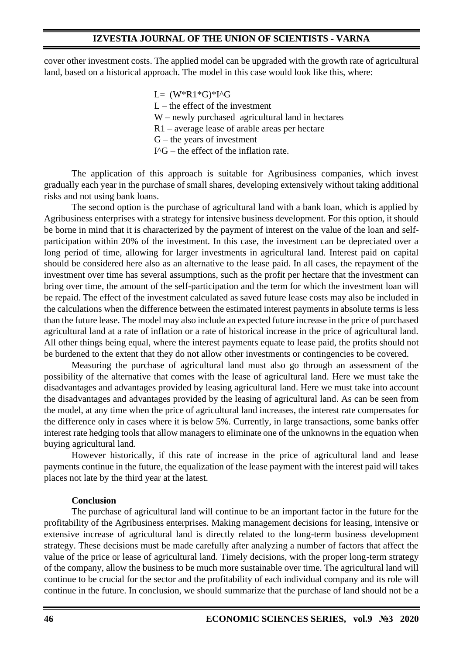cover other investment costs. The applied model can be upgraded with the growth rate of agricultural land, based on a historical approach. The model in this case would look like this, where:

> $L=$   $(W^*R1^*G)^*I^{\wedge}G$  $L$  – the effect of the investment W – newly purchased agricultural land in hectares R1 – average lease of arable areas per hectare  $G$  – the years of investment  $I^{\wedge}G$  – the effect of the inflation rate.

The application of this approach is suitable for Agribusiness companies, which invest gradually each year in the purchase of small shares, developing extensively without taking additional risks and not using bank loans.

The second option is the purchase of agricultural land with a bank loan, which is applied by Agribusiness enterprises with a strategy for intensive business development. For this option, it should be borne in mind that it is characterized by the payment of interest on the value of the loan and selfparticipation within 20% of the investment. In this case, the investment can be depreciated over a long period of time, allowing for larger investments in agricultural land. Interest paid on capital should be considered here also as an alternative to the lease paid. In all cases, the repayment of the investment over time has several assumptions, such as the profit per hectare that the investment can bring over time, the amount of the self-participation and the term for which the investment loan will be repaid. The effect of the investment calculated as saved future lease costs may also be included in the calculations when the difference between the estimated interest payments in absolute terms is less than the future lease. The model may also include an expected future increase in the price of purchased agricultural land at a rate of inflation or a rate of historical increase in the price of agricultural land. All other things being equal, where the interest payments equate to lease paid, the profits should not be burdened to the extent that they do not allow other investments or contingencies to be covered.

Measuring the purchase of agricultural land must also go through an assessment of the possibility of the alternative that comes with the lease of agricultural land. Here we must take the disadvantages and advantages provided by leasing agricultural land. Here we must take into account the disadvantages and advantages provided by the leasing of agricultural land. As can be seen from the model, at any time when the price of agricultural land increases, the interest rate compensates for the difference only in cases where it is below 5%. Currently, in large transactions, some banks offer interest rate hedging tools that allow managers to eliminate one of the unknowns in the equation when buying agricultural land.

However historically, if this rate of increase in the price of agricultural land and lease payments continue in the future, the equalization of the lease payment with the interest paid will takes places not late by the third year at the latest.

### **Conclusion**

The purchase of agricultural land will continue to be an important factor in the future for the profitability of the Agribusiness enterprises. Making management decisions for leasing, intensive or extensive increase of agricultural land is directly related to the long-term business development strategy. These decisions must be made carefully after analyzing a number of factors that affect the value of the price or lease of agricultural land. Timely decisions, with the proper long-term strategy of the company, allow the business to be much more sustainable over time. The agricultural land will continue to be crucial for the sector and the profitability of each individual company and its role will continue in the future. In conclusion, we should summarize that the purchase of land should not be a